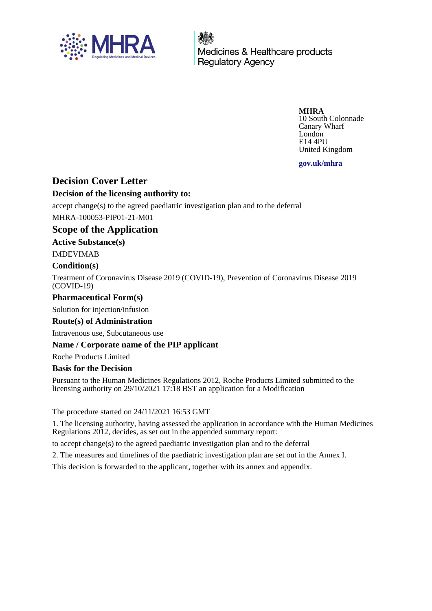

Medicines & Healthcare products **Regulatory Agency** 

**MHRA**

10 South Colonnade Canary Wharf London E14 4PU United Kingdom

**gov.uk/mhra**

# **Decision Cover Letter**

# **Decision of the licensing authority to:**

accept change(s) to the agreed paediatric investigation plan and to the deferral MHRA-100053-PIP01-21-M01

# **Scope of the Application**

### **Active Substance(s)**

IMDEVIMAB

### **Condition(s)**

Treatment of Coronavirus Disease 2019 (COVID-19), Prevention of Coronavirus Disease 2019 (COVID-19)

### **Pharmaceutical Form(s)**

Solution for injection/infusion

#### **Route(s) of Administration**

Intravenous use, Subcutaneous use

#### **Name / Corporate name of the PIP applicant**

Roche Products Limited

#### **Basis for the Decision**

Pursuant to the Human Medicines Regulations 2012, Roche Products Limited submitted to the licensing authority on 29/10/2021 17:18 BST an application for a Modification

The procedure started on 24/11/2021 16:53 GMT

1. The licensing authority, having assessed the application in accordance with the Human Medicines Regulations 2012, decides, as set out in the appended summary report:

to accept change(s) to the agreed paediatric investigation plan and to the deferral

2. The measures and timelines of the paediatric investigation plan are set out in the Annex I.

This decision is forwarded to the applicant, together with its annex and appendix.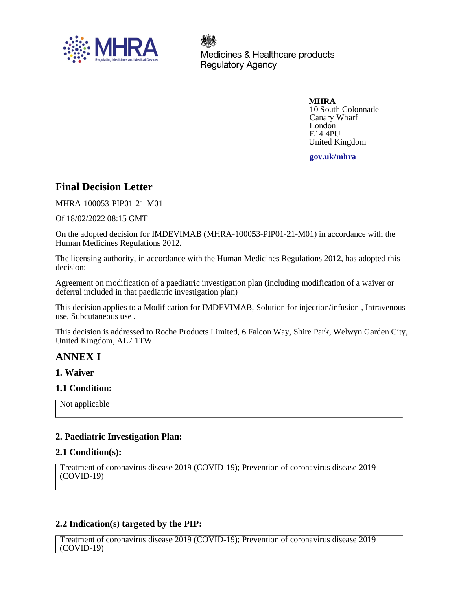

Medicines & Healthcare products **Regulatory Agency** 

> **MHRA** 10 South Colonnade Canary Wharf London E14 4PU United Kingdom

**gov.uk/mhra**

# **Final Decision Letter**

MHRA-100053-PIP01-21-M01

Of 18/02/2022 08:15 GMT

On the adopted decision for IMDEVIMAB (MHRA-100053-PIP01-21-M01) in accordance with the Human Medicines Regulations 2012.

The licensing authority, in accordance with the Human Medicines Regulations 2012, has adopted this decision:

Agreement on modification of a paediatric investigation plan (including modification of a waiver or deferral included in that paediatric investigation plan)

This decision applies to a Modification for IMDEVIMAB, Solution for injection/infusion , Intravenous use, Subcutaneous use .

This decision is addressed to Roche Products Limited, 6 Falcon Way, Shire Park, Welwyn Garden City, United Kingdom, AL7 1TW

# **ANNEX I**

#### **1. Waiver**

# **1.1 Condition:**

Not applicable

# **2. Paediatric Investigation Plan:**

#### **2.1 Condition(s):**

```
Treatment of coronavirus disease 2019 (COVID-19); Prevention of coronavirus disease 2019
(COVID-19)
```
# **2.2 Indication(s) targeted by the PIP:**

Treatment of coronavirus disease 2019 (COVID-19); Prevention of coronavirus disease 2019 (COVID-19)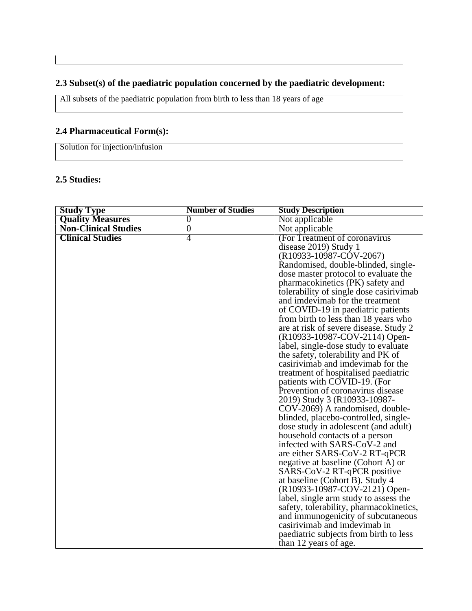# **2.3 Subset(s) of the paediatric population concerned by the paediatric development:**

All subsets of the paediatric population from birth to less than 18 years of age

# **2.4 Pharmaceutical Form(s):**

Solution for injection/infusion

# **2.5 Studies:**